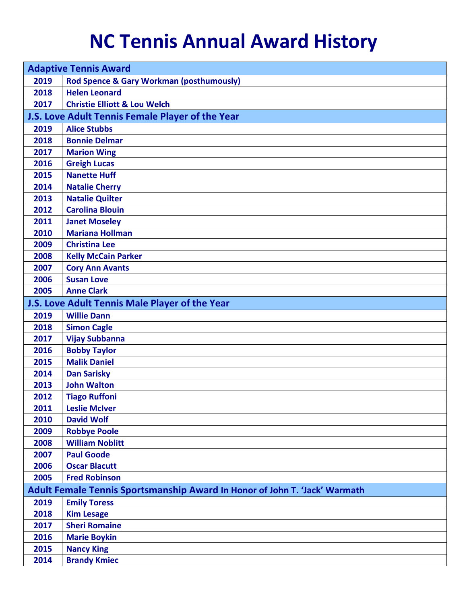## **NC Tennis Annual Award History**

| <b>Adaptive Tennis Award</b>                                               |                                                     |  |
|----------------------------------------------------------------------------|-----------------------------------------------------|--|
| 2019                                                                       | <b>Rod Spence &amp; Gary Workman (posthumously)</b> |  |
| 2018                                                                       | <b>Helen Leonard</b>                                |  |
| 2017                                                                       | <b>Christie Elliott &amp; Lou Welch</b>             |  |
|                                                                            | J.S. Love Adult Tennis Female Player of the Year    |  |
| 2019                                                                       | <b>Alice Stubbs</b>                                 |  |
| 2018                                                                       | <b>Bonnie Delmar</b>                                |  |
| 2017                                                                       | <b>Marion Wing</b>                                  |  |
| 2016                                                                       | <b>Greigh Lucas</b>                                 |  |
| 2015                                                                       | <b>Nanette Huff</b>                                 |  |
| 2014                                                                       | <b>Natalie Cherry</b>                               |  |
| 2013                                                                       | <b>Natalie Quilter</b>                              |  |
| 2012                                                                       | <b>Carolina Blouin</b>                              |  |
| 2011                                                                       | <b>Janet Moseley</b>                                |  |
| 2010                                                                       | <b>Mariana Hollman</b>                              |  |
| 2009                                                                       | <b>Christina Lee</b>                                |  |
| 2008                                                                       | <b>Kelly McCain Parker</b>                          |  |
| 2007                                                                       | <b>Cory Ann Avants</b>                              |  |
| 2006                                                                       | <b>Susan Love</b>                                   |  |
| 2005                                                                       | <b>Anne Clark</b>                                   |  |
|                                                                            | J.S. Love Adult Tennis Male Player of the Year      |  |
| 2019                                                                       | <b>Willie Dann</b>                                  |  |
| 2018                                                                       | <b>Simon Cagle</b>                                  |  |
| 2017                                                                       | <b>Vijay Subbanna</b>                               |  |
| 2016                                                                       | <b>Bobby Taylor</b>                                 |  |
| 2015                                                                       | <b>Malik Daniel</b>                                 |  |
| 2014                                                                       | <b>Dan Sarisky</b>                                  |  |
| 2013                                                                       | <b>John Walton</b>                                  |  |
| 2012                                                                       | <b>Tiago Ruffoni</b>                                |  |
| 2011                                                                       | <b>Leslie McIver</b>                                |  |
| 2010                                                                       | <b>David Wolf</b>                                   |  |
| 2009                                                                       | <b>Robbye Poole</b>                                 |  |
| 2008                                                                       | <b>William Noblitt</b>                              |  |
| 2007                                                                       | <b>Paul Goode</b>                                   |  |
| 2006                                                                       | <b>Oscar Blacutt</b>                                |  |
| 2005                                                                       | <b>Fred Robinson</b>                                |  |
| Adult Female Tennis Sportsmanship Award In Honor of John T. 'Jack' Warmath |                                                     |  |
| 2019                                                                       | <b>Emily Toress</b>                                 |  |
| 2018                                                                       | <b>Kim Lesage</b>                                   |  |
| 2017                                                                       | <b>Sheri Romaine</b>                                |  |
| 2016                                                                       | <b>Marie Boykin</b>                                 |  |
| 2015                                                                       | <b>Nancy King</b>                                   |  |
| 2014                                                                       | <b>Brandy Kmiec</b>                                 |  |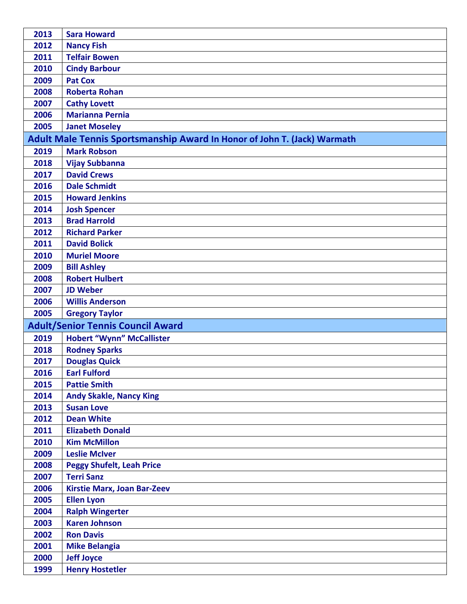| 2013 | <b>Sara Howard</b>                                                       |
|------|--------------------------------------------------------------------------|
| 2012 | <b>Nancy Fish</b>                                                        |
| 2011 | <b>Telfair Bowen</b>                                                     |
| 2010 | <b>Cindy Barbour</b>                                                     |
| 2009 | <b>Pat Cox</b>                                                           |
| 2008 | <b>Roberta Rohan</b>                                                     |
| 2007 | <b>Cathy Lovett</b>                                                      |
| 2006 | <b>Marianna Pernia</b>                                                   |
| 2005 | <b>Janet Moseley</b>                                                     |
|      | Adult Male Tennis Sportsmanship Award In Honor of John T. (Jack) Warmath |
| 2019 | <b>Mark Robson</b>                                                       |
| 2018 | <b>Vijay Subbanna</b>                                                    |
| 2017 | <b>David Crews</b>                                                       |
| 2016 | <b>Dale Schmidt</b>                                                      |
| 2015 | <b>Howard Jenkins</b>                                                    |
| 2014 | <b>Josh Spencer</b>                                                      |
| 2013 | <b>Brad Harrold</b>                                                      |
| 2012 | <b>Richard Parker</b>                                                    |
| 2011 | <b>David Bolick</b>                                                      |
| 2010 | <b>Muriel Moore</b>                                                      |
| 2009 | <b>Bill Ashley</b>                                                       |
| 2008 | <b>Robert Hulbert</b>                                                    |
| 2007 | <b>JD Weber</b>                                                          |
| 2006 | <b>Willis Anderson</b>                                                   |
| 2005 | <b>Gregory Taylor</b>                                                    |
|      | <b>Adult/Senior Tennis Council Award</b>                                 |
| 2019 | <b>Hobert "Wynn" McCallister</b>                                         |
| 2018 | <b>Rodney Sparks</b>                                                     |
| 2017 | <b>Douglas Quick</b>                                                     |
| 2016 | <b>Earl Fulford</b>                                                      |
| 2015 | <b>Pattie Smith</b>                                                      |
| 2014 | <b>Andy Skakle, Nancy King</b>                                           |
| 2013 | <b>Susan Love</b>                                                        |
| 2012 | <b>Dean White</b>                                                        |
| 2011 | <b>Elizabeth Donald</b>                                                  |
| 2010 | <b>Kim McMillon</b>                                                      |
| 2009 | <b>Leslie McIver</b>                                                     |
| 2008 | <b>Peggy Shufelt, Leah Price</b>                                         |
| 2007 | <b>Terri Sanz</b>                                                        |
| 2006 | <b>Kirstie Marx, Joan Bar-Zeev</b>                                       |
| 2005 | <b>Ellen Lyon</b>                                                        |
| 2004 | <b>Ralph Wingerter</b>                                                   |
| 2003 | <b>Karen Johnson</b>                                                     |
| 2002 | <b>Ron Davis</b>                                                         |
| 2001 | <b>Mike Belangia</b>                                                     |
| 2000 | <b>Jeff Joyce</b>                                                        |
| 1999 | <b>Henry Hostetler</b>                                                   |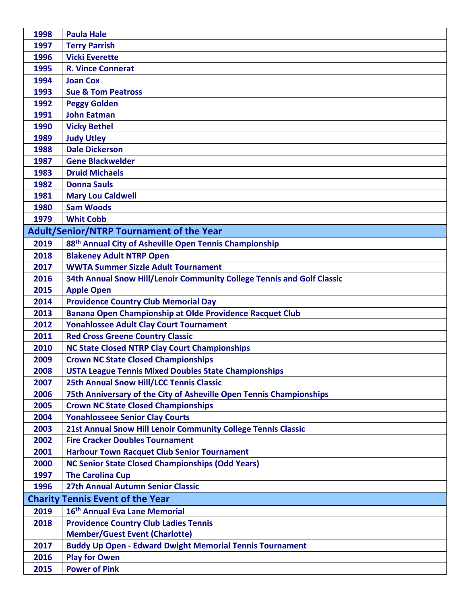| 1998         | <b>Paula Hale</b>                                                                                              |
|--------------|----------------------------------------------------------------------------------------------------------------|
| 1997         | <b>Terry Parrish</b>                                                                                           |
| 1996         | <b>Vicki Everette</b>                                                                                          |
| 1995         | <b>R. Vince Connerat</b>                                                                                       |
| 1994         | <b>Joan Cox</b>                                                                                                |
| 1993         | <b>Sue &amp; Tom Peatross</b>                                                                                  |
| 1992         | <b>Peggy Golden</b>                                                                                            |
| 1991         | <b>John Eatman</b>                                                                                             |
| 1990         | <b>Vicky Bethel</b>                                                                                            |
| 1989         | <b>Judy Utley</b>                                                                                              |
| 1988         | <b>Dale Dickerson</b>                                                                                          |
| 1987         | <b>Gene Blackwelder</b>                                                                                        |
| 1983         | <b>Druid Michaels</b>                                                                                          |
| 1982         | <b>Donna Sauls</b>                                                                                             |
| 1981         | <b>Mary Lou Caldwell</b>                                                                                       |
| 1980         | <b>Sam Woods</b>                                                                                               |
| 1979         | <b>Whit Cobb</b>                                                                                               |
|              | <b>Adult/Senior/NTRP Tournament of the Year</b>                                                                |
| 2019         | 88 <sup>th</sup> Annual City of Asheville Open Tennis Championship                                             |
| 2018         | <b>Blakeney Adult NTRP Open</b>                                                                                |
| 2017         | <b>WWTA Summer Sizzle Adult Tournament</b>                                                                     |
| 2016         | 34th Annual Snow Hill/Lenoir Community College Tennis and Golf Classic                                         |
| 2015         | <b>Apple Open</b>                                                                                              |
| 2014         | <b>Providence Country Club Memorial Day</b>                                                                    |
| 2013         | Banana Open Championship at Olde Providence Racquet Club                                                       |
| 2012         | <b>Yonahlossee Adult Clay Court Tournament</b>                                                                 |
| 2011         | <b>Red Cross Greene Country Classic</b>                                                                        |
| 2010         | <b>NC State Closed NTRP Clay Court Championships</b>                                                           |
| 2009         | <b>Crown NC State Closed Championships</b>                                                                     |
| 2008         | <b>USTA League Tennis Mixed Doubles State Championships</b>                                                    |
| 2007         | <b>25th Annual Snow Hill/LCC Tennis Classic</b>                                                                |
| 2006         | 75th Anniversary of the City of Asheville Open Tennis Championships                                            |
| 2005         | <b>Crown NC State Closed Championships</b>                                                                     |
| 2004         | <b>Yonahlosseee Senior Clay Courts</b>                                                                         |
| 2003         | <b>21st Annual Snow Hill Lenoir Community College Tennis Classic</b><br><b>Fire Cracker Doubles Tournament</b> |
| 2002         | <b>Harbour Town Racquet Club Senior Tournament</b>                                                             |
| 2001<br>2000 | <b>NC Senior State Closed Championships (Odd Years)</b>                                                        |
| 1997         | <b>The Carolina Cup</b>                                                                                        |
| 1996         | 27th Annual Autumn Senior Classic                                                                              |
|              |                                                                                                                |
|              | <b>Charity Tennis Event of the Year</b><br>16 <sup>th</sup> Annual Eva Lane Memorial                           |
| 2019         |                                                                                                                |
| 2018         | <b>Providence Country Club Ladies Tennis</b><br><b>Member/Guest Event (Charlotte)</b>                          |
| 2017         |                                                                                                                |
| 2016         | <b>Buddy Up Open - Edward Dwight Memorial Tennis Tournament</b><br><b>Play for Owen</b>                        |
|              | <b>Power of Pink</b>                                                                                           |
| 2015         |                                                                                                                |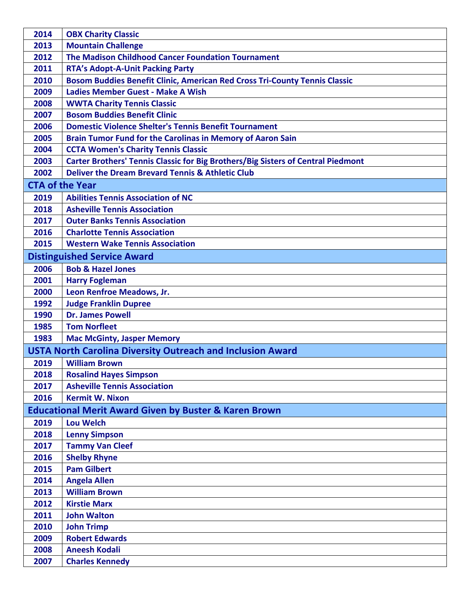| 2014 | <b>OBX Charity Classic</b>                                                        |
|------|-----------------------------------------------------------------------------------|
| 2013 | <b>Mountain Challenge</b>                                                         |
| 2012 | The Madison Childhood Cancer Foundation Tournament                                |
| 2011 | <b>RTA's Adopt-A-Unit Packing Party</b>                                           |
| 2010 | <b>Bosom Buddies Benefit Clinic, American Red Cross Tri-County Tennis Classic</b> |
| 2009 | <b>Ladies Member Guest - Make A Wish</b>                                          |
| 2008 | <b>WWTA Charity Tennis Classic</b>                                                |
| 2007 | <b>Bosom Buddies Benefit Clinic</b>                                               |
| 2006 | <b>Domestic Violence Shelter's Tennis Benefit Tournament</b>                      |
| 2005 | <b>Brain Tumor Fund for the Carolinas in Memory of Aaron Sain</b>                 |
| 2004 | <b>CCTA Women's Charity Tennis Classic</b>                                        |
| 2003 | Carter Brothers' Tennis Classic for Big Brothers/Big Sisters of Central Piedmont  |
| 2002 | <b>Deliver the Dream Brevard Tennis &amp; Athletic Club</b>                       |
|      | <b>CTA of the Year</b>                                                            |
| 2019 | <b>Abilities Tennis Association of NC</b>                                         |
| 2018 | <b>Asheville Tennis Association</b>                                               |
| 2017 | <b>Outer Banks Tennis Association</b>                                             |
| 2016 | <b>Charlotte Tennis Association</b>                                               |
| 2015 | <b>Western Wake Tennis Association</b>                                            |
|      | <b>Distinguished Service Award</b>                                                |
| 2006 | <b>Bob &amp; Hazel Jones</b>                                                      |
| 2001 | <b>Harry Fogleman</b>                                                             |
| 2000 | Leon Renfroe Meadows, Jr.                                                         |
| 1992 | <b>Judge Franklin Dupree</b>                                                      |
| 1990 | <b>Dr. James Powell</b>                                                           |
| 1985 | <b>Tom Norfleet</b>                                                               |
| 1983 | <b>Mac McGinty, Jasper Memory</b>                                                 |
|      | <b>USTA North Carolina Diversity Outreach and Inclusion Award</b>                 |
| 2019 | <b>William Brown</b>                                                              |
| 2018 | <b>Rosalind Hayes Simpson</b>                                                     |
| 2017 | <b>Asheville Tennis Association</b>                                               |
| 2016 | <b>Kermit W. Nixon</b>                                                            |
|      | <b>Educational Merit Award Given by Buster &amp; Karen Brown</b>                  |
| 2019 | <b>Lou Welch</b>                                                                  |
| 2018 | <b>Lenny Simpson</b>                                                              |
| 2017 | <b>Tammy Van Cleef</b>                                                            |
| 2016 | <b>Shelby Rhyne</b>                                                               |
| 2015 | <b>Pam Gilbert</b>                                                                |
| 2014 | <b>Angela Allen</b>                                                               |
| 2013 | <b>William Brown</b>                                                              |
| 2012 | <b>Kirstie Marx</b>                                                               |
| 2011 | <b>John Walton</b>                                                                |
| 2010 | <b>John Trimp</b>                                                                 |
| 2009 | <b>Robert Edwards</b>                                                             |
| 2008 | <b>Aneesh Kodali</b>                                                              |
| 2007 | <b>Charles Kennedy</b>                                                            |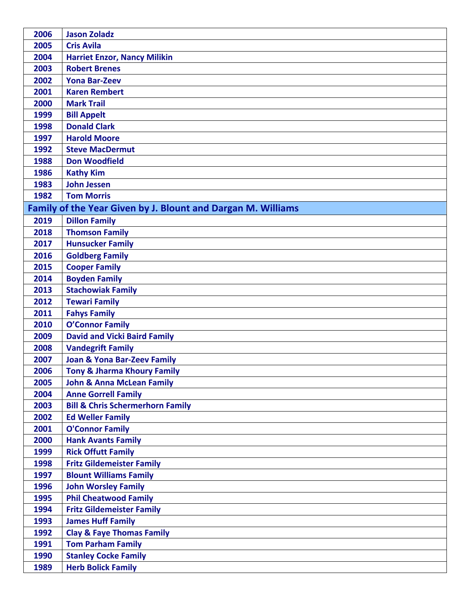| 2006 | <b>Jason Zoladz</b>                                          |
|------|--------------------------------------------------------------|
| 2005 | <b>Cris Avila</b>                                            |
| 2004 | <b>Harriet Enzor, Nancy Milikin</b>                          |
| 2003 | <b>Robert Brenes</b>                                         |
| 2002 | <b>Yona Bar-Zeev</b>                                         |
| 2001 | <b>Karen Rembert</b>                                         |
| 2000 | <b>Mark Trail</b>                                            |
| 1999 | <b>Bill Appelt</b>                                           |
| 1998 | <b>Donald Clark</b>                                          |
| 1997 | <b>Harold Moore</b>                                          |
| 1992 | <b>Steve MacDermut</b>                                       |
| 1988 | <b>Don Woodfield</b>                                         |
| 1986 | <b>Kathy Kim</b>                                             |
| 1983 | <b>John Jessen</b>                                           |
| 1982 | <b>Tom Morris</b>                                            |
|      | Family of the Year Given by J. Blount and Dargan M. Williams |
| 2019 | <b>Dillon Family</b>                                         |
| 2018 | <b>Thomson Family</b>                                        |
| 2017 | <b>Hunsucker Family</b>                                      |
| 2016 | <b>Goldberg Family</b>                                       |
| 2015 | <b>Cooper Family</b>                                         |
| 2014 | <b>Boyden Family</b>                                         |
| 2013 | <b>Stachowiak Family</b>                                     |
| 2012 | <b>Tewari Family</b>                                         |
| 2011 | <b>Fahys Family</b>                                          |
| 2010 | <b>O'Connor Family</b>                                       |
| 2009 | <b>David and Vicki Baird Family</b>                          |
| 2008 | <b>Vandegrift Family</b>                                     |
| 2007 | <b>Joan &amp; Yona Bar-Zeev Family</b>                       |
| 2006 | <b>Tony &amp; Jharma Khoury Family</b>                       |
| 2005 | <b>John &amp; Anna McLean Family</b>                         |
| 2004 | <b>Anne Gorrell Family</b>                                   |
| 2003 | <b>Bill &amp; Chris Schermerhorn Family</b>                  |
| 2002 | <b>Ed Weller Family</b>                                      |
| 2001 | <b>O'Connor Family</b>                                       |
| 2000 | <b>Hank Avants Family</b>                                    |
| 1999 | <b>Rick Offutt Family</b>                                    |
| 1998 | <b>Fritz Gildemeister Family</b>                             |
| 1997 | <b>Blount Williams Family</b>                                |
| 1996 | <b>John Worsley Family</b>                                   |
| 1995 | <b>Phil Cheatwood Family</b>                                 |
| 1994 | <b>Fritz Gildemeister Family</b>                             |
| 1993 | <b>James Huff Family</b>                                     |
| 1992 | <b>Clay &amp; Faye Thomas Family</b>                         |
| 1991 | <b>Tom Parham Family</b>                                     |
| 1990 | <b>Stanley Cocke Family</b>                                  |
| 1989 | <b>Herb Bolick Family</b>                                    |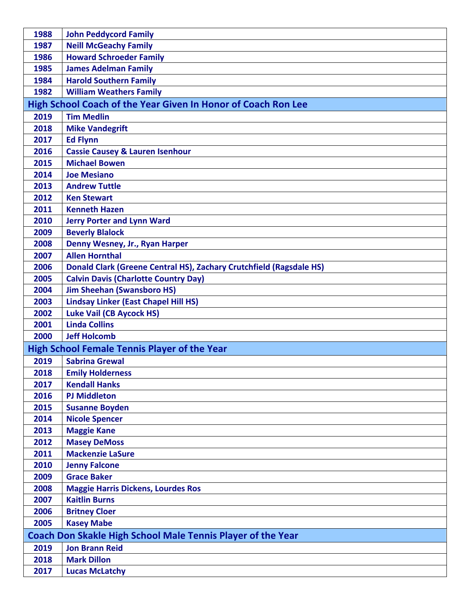| 1988                                                        | <b>John Peddycord Family</b>                                        |
|-------------------------------------------------------------|---------------------------------------------------------------------|
| 1987                                                        | <b>Neill McGeachy Family</b>                                        |
| 1986                                                        | <b>Howard Schroeder Family</b>                                      |
| 1985                                                        | <b>James Adelman Family</b>                                         |
| 1984                                                        | <b>Harold Southern Family</b>                                       |
| 1982                                                        | <b>William Weathers Family</b>                                      |
|                                                             | High School Coach of the Year Given In Honor of Coach Ron Lee       |
| 2019                                                        | <b>Tim Medlin</b>                                                   |
| 2018                                                        | <b>Mike Vandegrift</b>                                              |
| 2017                                                        | <b>Ed Flynn</b>                                                     |
| 2016                                                        | <b>Cassie Causey &amp; Lauren Isenhour</b>                          |
| 2015                                                        | <b>Michael Bowen</b>                                                |
| 2014                                                        | <b>Joe Mesiano</b>                                                  |
| 2013                                                        | <b>Andrew Tuttle</b>                                                |
| 2012                                                        | <b>Ken Stewart</b>                                                  |
| 2011                                                        | <b>Kenneth Hazen</b>                                                |
| 2010                                                        | <b>Jerry Porter and Lynn Ward</b>                                   |
| 2009                                                        | <b>Beverly Blalock</b>                                              |
| 2008                                                        | Denny Wesney, Jr., Ryan Harper                                      |
| 2007                                                        | <b>Allen Hornthal</b>                                               |
| 2006                                                        | Donald Clark (Greene Central HS), Zachary Crutchfield (Ragsdale HS) |
| 2005                                                        | <b>Calvin Davis (Charlotte Country Day)</b>                         |
| 2004                                                        | <b>Jim Sheehan (Swansboro HS)</b>                                   |
| 2003                                                        | <b>Lindsay Linker (East Chapel Hill HS)</b>                         |
| 2002                                                        | <b>Luke Vail (CB Aycock HS)</b>                                     |
| 2001                                                        | <b>Linda Collins</b>                                                |
| 2000                                                        | <b>Jeff Holcomb</b>                                                 |
|                                                             | <b>High School Female Tennis Player of the Year</b>                 |
| 2019                                                        | <b>Sabrina Grewal</b>                                               |
| 2018                                                        | <b>Emily Holderness</b>                                             |
| 2017                                                        | <b>Kendall Hanks</b>                                                |
| 2016                                                        | <b>PJ Middleton</b>                                                 |
| 2015                                                        | <b>Susanne Boyden</b>                                               |
| 2014                                                        | <b>Nicole Spencer</b>                                               |
| 2013                                                        | <b>Maggie Kane</b>                                                  |
| 2012                                                        | <b>Masey DeMoss</b>                                                 |
| 2011                                                        | <b>Mackenzie LaSure</b>                                             |
| 2010                                                        | <b>Jenny Falcone</b>                                                |
| 2009                                                        | <b>Grace Baker</b>                                                  |
| 2008                                                        | <b>Maggie Harris Dickens, Lourdes Ros</b>                           |
| 2007                                                        | <b>Kaitlin Burns</b>                                                |
| 2006                                                        | <b>Britney Cloer</b>                                                |
| 2005                                                        | <b>Kasey Mabe</b>                                                   |
| Coach Don Skakle High School Male Tennis Player of the Year |                                                                     |
| 2019                                                        | <b>Jon Brann Reid</b>                                               |
| 2018                                                        | <b>Mark Dillon</b>                                                  |
| 2017                                                        | <b>Lucas McLatchy</b>                                               |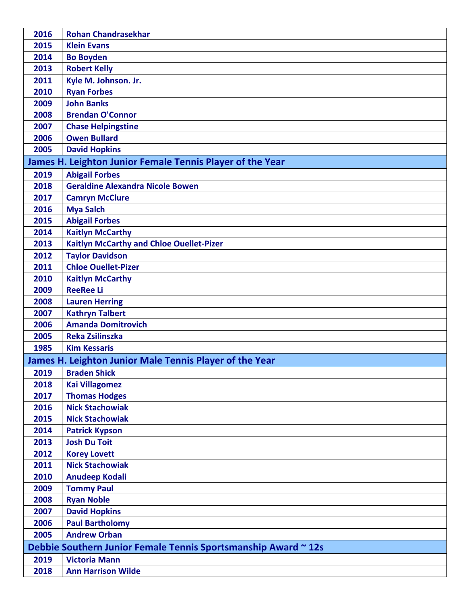| 2016                                                           | <b>Rohan Chandrasekhar</b>                                |
|----------------------------------------------------------------|-----------------------------------------------------------|
| 2015                                                           | <b>Klein Evans</b>                                        |
| 2014                                                           | <b>Bo Boyden</b>                                          |
| 2013                                                           | <b>Robert Kelly</b>                                       |
| 2011                                                           | Kyle M. Johnson. Jr.                                      |
| 2010                                                           | <b>Ryan Forbes</b>                                        |
| 2009                                                           | <b>John Banks</b>                                         |
| 2008                                                           | <b>Brendan O'Connor</b>                                   |
| 2007                                                           | <b>Chase Helpingstine</b>                                 |
| 2006                                                           | <b>Owen Bullard</b>                                       |
| 2005                                                           | <b>David Hopkins</b>                                      |
|                                                                | James H. Leighton Junior Female Tennis Player of the Year |
| 2019                                                           | <b>Abigail Forbes</b>                                     |
| 2018                                                           | <b>Geraldine Alexandra Nicole Bowen</b>                   |
| 2017                                                           | <b>Camryn McClure</b>                                     |
| 2016                                                           | <b>Mya Salch</b>                                          |
| 2015                                                           | <b>Abigail Forbes</b>                                     |
| 2014                                                           | <b>Kaitlyn McCarthy</b>                                   |
| 2013                                                           | <b>Kaitlyn McCarthy and Chloe Ouellet-Pizer</b>           |
| 2012                                                           | <b>Taylor Davidson</b>                                    |
| 2011                                                           | <b>Chloe Ouellet-Pizer</b>                                |
| 2010                                                           | <b>Kaitlyn McCarthy</b>                                   |
| 2009                                                           | <b>ReeRee Li</b>                                          |
| 2008                                                           | <b>Lauren Herring</b>                                     |
| 2007                                                           | <b>Kathryn Talbert</b>                                    |
| 2006                                                           | <b>Amanda Domitrovich</b>                                 |
| 2005                                                           | <b>Reka Zsilinszka</b>                                    |
| 1985                                                           | <b>Kim Kessaris</b>                                       |
|                                                                | James H. Leighton Junior Male Tennis Player of the Year   |
| 2019                                                           | <b>Braden Shick</b>                                       |
| 2018                                                           | <b>Kai Villagomez</b>                                     |
| 2017                                                           | <b>Thomas Hodges</b>                                      |
| 2016                                                           | <b>Nick Stachowiak</b>                                    |
| 2015                                                           | <b>Nick Stachowiak</b>                                    |
| 2014                                                           | <b>Patrick Kypson</b>                                     |
| 2013                                                           | <b>Josh Du Toit</b>                                       |
| 2012                                                           | <b>Korey Lovett</b>                                       |
| 2011                                                           | <b>Nick Stachowiak</b>                                    |
| 2010                                                           | <b>Anudeep Kodali</b>                                     |
| 2009                                                           | <b>Tommy Paul</b>                                         |
| 2008                                                           | <b>Ryan Noble</b>                                         |
| 2007                                                           | <b>David Hopkins</b>                                      |
| 2006                                                           | <b>Paul Bartholomy</b>                                    |
| 2005                                                           | <b>Andrew Orban</b>                                       |
| Debbie Southern Junior Female Tennis Sportsmanship Award ~ 12s |                                                           |
| 2019                                                           | <b>Victoria Mann</b>                                      |
| 2018                                                           | <b>Ann Harrison Wilde</b>                                 |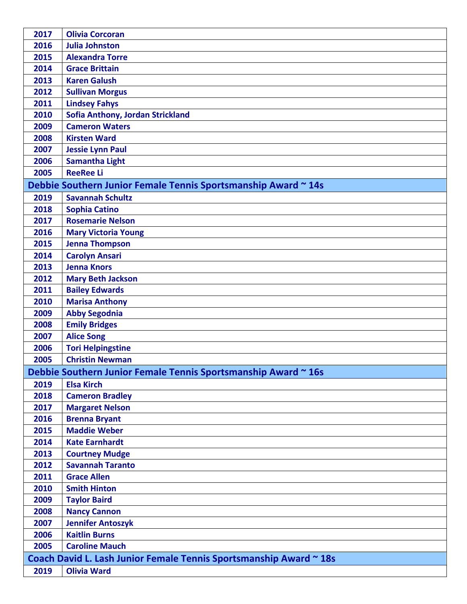| 2017                                                               | <b>Olivia Corcoran</b>                                         |
|--------------------------------------------------------------------|----------------------------------------------------------------|
| 2016                                                               | <b>Julia Johnston</b>                                          |
| 2015                                                               | <b>Alexandra Torre</b>                                         |
| 2014                                                               | <b>Grace Brittain</b>                                          |
| 2013                                                               | <b>Karen Galush</b>                                            |
| 2012                                                               | <b>Sullivan Morgus</b>                                         |
| 2011                                                               | <b>Lindsey Fahys</b>                                           |
| 2010                                                               | Sofia Anthony, Jordan Strickland                               |
| 2009                                                               | <b>Cameron Waters</b>                                          |
| 2008                                                               | <b>Kirsten Ward</b>                                            |
| 2007                                                               | <b>Jessie Lynn Paul</b>                                        |
| 2006                                                               | <b>Samantha Light</b>                                          |
| 2005                                                               | <b>ReeRee Li</b>                                               |
|                                                                    | Debbie Southern Junior Female Tennis Sportsmanship Award ~ 14s |
| 2019                                                               | <b>Savannah Schultz</b>                                        |
| 2018                                                               | <b>Sophia Catino</b>                                           |
| 2017                                                               | <b>Rosemarie Nelson</b>                                        |
| 2016                                                               | <b>Mary Victoria Young</b>                                     |
| 2015                                                               | <b>Jenna Thompson</b>                                          |
| 2014                                                               | <b>Carolyn Ansari</b>                                          |
| 2013                                                               | <b>Jenna Knors</b>                                             |
| 2012                                                               | <b>Mary Beth Jackson</b>                                       |
| 2011                                                               | <b>Bailey Edwards</b>                                          |
| 2010                                                               | <b>Marisa Anthony</b>                                          |
| 2009                                                               | <b>Abby Segodnia</b>                                           |
| 2008                                                               | <b>Emily Bridges</b>                                           |
| 2007                                                               | <b>Alice Song</b>                                              |
| 2006                                                               | <b>Tori Helpingstine</b>                                       |
| 2005                                                               | <b>Christin Newman</b>                                         |
|                                                                    | Debbie Southern Junior Female Tennis Sportsmanship Award ~ 16s |
| 2019                                                               | <b>Elsa Kirch</b>                                              |
| 2018                                                               | <b>Cameron Bradley</b>                                         |
| 2017                                                               | <b>Margaret Nelson</b>                                         |
| 2016                                                               | <b>Brenna Bryant</b>                                           |
| 2015                                                               | <b>Maddie Weber</b>                                            |
| 2014                                                               | <b>Kate Earnhardt</b>                                          |
| 2013                                                               | <b>Courtney Mudge</b>                                          |
| 2012                                                               | <b>Savannah Taranto</b>                                        |
| 2011                                                               | <b>Grace Allen</b>                                             |
| 2010                                                               | <b>Smith Hinton</b>                                            |
| 2009                                                               | <b>Taylor Baird</b>                                            |
| 2008                                                               | <b>Nancy Cannon</b>                                            |
| 2007                                                               | <b>Jennifer Antoszyk</b>                                       |
| 2006                                                               | <b>Kaitlin Burns</b>                                           |
| 2005                                                               | <b>Caroline Mauch</b>                                          |
| Coach David L. Lash Junior Female Tennis Sportsmanship Award ~ 18s |                                                                |
| 2019                                                               | <b>Olivia Ward</b>                                             |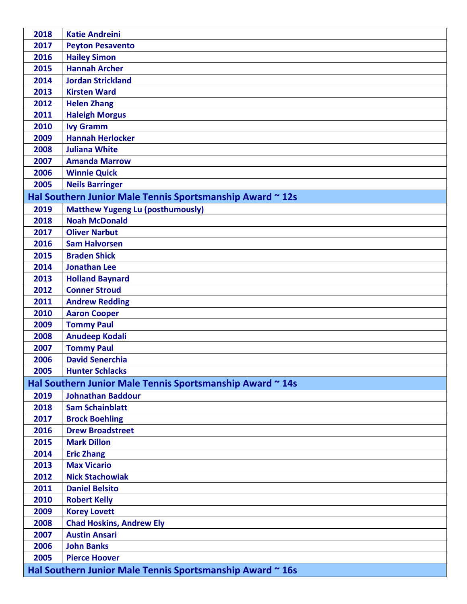| 2018 | <b>Katie Andreini</b>                                     |
|------|-----------------------------------------------------------|
| 2017 | <b>Peyton Pesavento</b>                                   |
| 2016 | <b>Hailey Simon</b>                                       |
| 2015 | <b>Hannah Archer</b>                                      |
| 2014 | <b>Jordan Strickland</b>                                  |
| 2013 | <b>Kirsten Ward</b>                                       |
| 2012 | <b>Helen Zhang</b>                                        |
| 2011 | <b>Haleigh Morgus</b>                                     |
| 2010 | <b>Ivy Gramm</b>                                          |
| 2009 | <b>Hannah Herlocker</b>                                   |
| 2008 | <b>Juliana White</b>                                      |
| 2007 | <b>Amanda Marrow</b>                                      |
| 2006 | <b>Winnie Quick</b>                                       |
| 2005 | <b>Neils Barringer</b>                                    |
|      | Hal Southern Junior Male Tennis Sportsmanship Award ~ 12s |
| 2019 | <b>Matthew Yugeng Lu (posthumously)</b>                   |
| 2018 | <b>Noah McDonald</b>                                      |
| 2017 | <b>Oliver Narbut</b>                                      |
| 2016 | <b>Sam Halvorsen</b>                                      |
| 2015 | <b>Braden Shick</b>                                       |
| 2014 | <b>Jonathan Lee</b>                                       |
| 2013 | <b>Holland Baynard</b>                                    |
| 2012 | <b>Conner Stroud</b>                                      |
| 2011 | <b>Andrew Redding</b>                                     |
| 2010 | <b>Aaron Cooper</b>                                       |
| 2009 | <b>Tommy Paul</b>                                         |
| 2008 | <b>Anudeep Kodali</b>                                     |
| 2007 | <b>Tommy Paul</b>                                         |
| 2006 | <b>David Senerchia</b>                                    |
| 2005 | <b>Hunter Schlacks</b>                                    |
|      | Hal Southern Junior Male Tennis Sportsmanship Award ~ 14s |
| 2019 | <b>Johnathan Baddour</b>                                  |
| 2018 | <b>Sam Schainblatt</b>                                    |
| 2017 | <b>Brock Boehling</b>                                     |
| 2016 | <b>Drew Broadstreet</b>                                   |
| 2015 | <b>Mark Dillon</b>                                        |
| 2014 | <b>Eric Zhang</b>                                         |
| 2013 | <b>Max Vicario</b>                                        |
| 2012 | <b>Nick Stachowiak</b>                                    |
| 2011 | <b>Daniel Belsito</b>                                     |
| 2010 | <b>Robert Kelly</b>                                       |
| 2009 | <b>Korey Lovett</b>                                       |
| 2008 | <b>Chad Hoskins, Andrew Ely</b>                           |
| 2007 | <b>Austin Ansari</b>                                      |
| 2006 | <b>John Banks</b>                                         |
| 2005 | <b>Pierce Hoover</b>                                      |
|      | Hal Southern Junior Male Tennis Sportsmanship Award ~ 16s |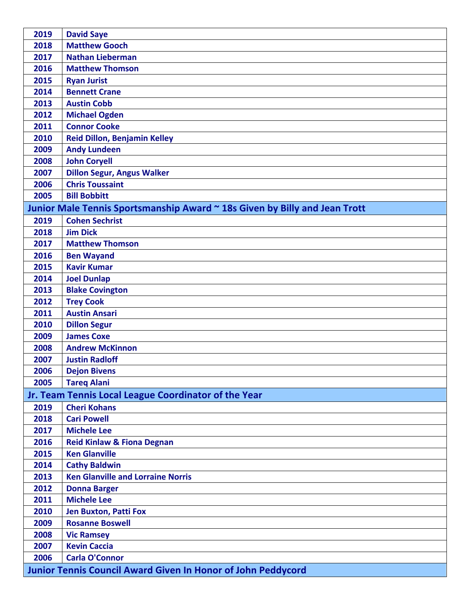| 2019 | <b>David Saye</b>                                                          |
|------|----------------------------------------------------------------------------|
| 2018 | <b>Matthew Gooch</b>                                                       |
| 2017 | <b>Nathan Lieberman</b>                                                    |
| 2016 | <b>Matthew Thomson</b>                                                     |
| 2015 | <b>Ryan Jurist</b>                                                         |
| 2014 | <b>Bennett Crane</b>                                                       |
| 2013 | <b>Austin Cobb</b>                                                         |
| 2012 | <b>Michael Ogden</b>                                                       |
| 2011 | <b>Connor Cooke</b>                                                        |
| 2010 | <b>Reid Dillon, Benjamin Kelley</b>                                        |
| 2009 | <b>Andy Lundeen</b>                                                        |
| 2008 | <b>John Coryell</b>                                                        |
| 2007 | <b>Dillon Segur, Angus Walker</b>                                          |
| 2006 | <b>Chris Toussaint</b>                                                     |
| 2005 | <b>Bill Bobbitt</b>                                                        |
|      | Junior Male Tennis Sportsmanship Award ~ 18s Given by Billy and Jean Trott |
| 2019 | <b>Cohen Sechrist</b>                                                      |
| 2018 | <b>Jim Dick</b>                                                            |
| 2017 | <b>Matthew Thomson</b>                                                     |
| 2016 | <b>Ben Wayand</b>                                                          |
| 2015 | <b>Kavir Kumar</b>                                                         |
| 2014 | <b>Joel Dunlap</b>                                                         |
| 2013 | <b>Blake Covington</b>                                                     |
| 2012 | <b>Trey Cook</b>                                                           |
| 2011 | <b>Austin Ansari</b>                                                       |
| 2010 | <b>Dillon Segur</b>                                                        |
| 2009 | <b>James Coxe</b>                                                          |
| 2008 | <b>Andrew McKinnon</b>                                                     |
| 2007 | <b>Justin Radloff</b>                                                      |
| 2006 | <b>Dejon Bivens</b>                                                        |
| 2005 | <b>Tareg Alani</b>                                                         |
|      | Jr. Team Tennis Local League Coordinator of the Year                       |
| 2019 | <b>Cheri Kohans</b>                                                        |
| 2018 | <b>Cari Powell</b>                                                         |
| 2017 | <b>Michele Lee</b>                                                         |
| 2016 | <b>Reid Kinlaw &amp; Fiona Degnan</b>                                      |
| 2015 | <b>Ken Glanville</b>                                                       |
| 2014 | <b>Cathy Baldwin</b>                                                       |
| 2013 | <b>Ken Glanville and Lorraine Norris</b>                                   |
| 2012 | <b>Donna Barger</b>                                                        |
| 2011 | <b>Michele Lee</b>                                                         |
| 2010 | <b>Jen Buxton, Patti Fox</b>                                               |
| 2009 | <b>Rosanne Boswell</b>                                                     |
| 2008 | <b>Vic Ramsey</b>                                                          |
| 2007 | <b>Kevin Caccia</b>                                                        |
| 2006 | <b>Carla O'Connor</b>                                                      |
|      | <b>Junior Tennis Council Award Given In Honor of John Peddycord</b>        |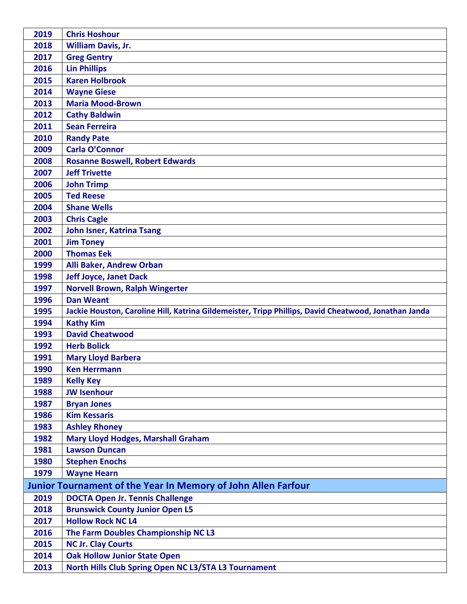| 2019 | <b>Chris Hoshour</b>                                                                                 |
|------|------------------------------------------------------------------------------------------------------|
| 2018 | <b>William Davis, Jr.</b>                                                                            |
| 2017 | <b>Greg Gentry</b>                                                                                   |
| 2016 | <b>Lin Phillips</b>                                                                                  |
| 2015 | <b>Karen Holbrook</b>                                                                                |
| 2014 | <b>Wayne Giese</b>                                                                                   |
| 2013 | <b>Maria Mood-Brown</b>                                                                              |
| 2012 | <b>Cathy Baldwin</b>                                                                                 |
| 2011 | <b>Sean Ferreira</b>                                                                                 |
| 2010 | <b>Randy Pate</b>                                                                                    |
| 2009 | <b>Carla O'Connor</b>                                                                                |
| 2008 | <b>Rosanne Boswell, Robert Edwards</b>                                                               |
| 2007 | <b>Jeff Trivette</b>                                                                                 |
| 2006 | <b>John Trimp</b>                                                                                    |
| 2005 | <b>Ted Reese</b>                                                                                     |
| 2004 | <b>Shane Wells</b>                                                                                   |
| 2003 | <b>Chris Cagle</b>                                                                                   |
| 2002 | <b>John Isner, Katrina Tsang</b>                                                                     |
| 2001 | <b>Jim Toney</b>                                                                                     |
| 2000 | <b>Thomas Eek</b>                                                                                    |
| 1999 | Alli Baker, Andrew Orban                                                                             |
| 1998 | <b>Jeff Joyce, Janet Dack</b>                                                                        |
| 1997 | <b>Norvell Brown, Ralph Wingerter</b>                                                                |
| 1996 | <b>Dan Weant</b>                                                                                     |
| 1995 | Jackie Houston, Caroline Hill, Katrina Gildemeister, Tripp Phillips, David Cheatwood, Jonathan Janda |
| 1994 | <b>Kathy Kim</b>                                                                                     |
| 1993 | <b>David Cheatwood</b>                                                                               |
|      |                                                                                                      |
| 1992 | <b>Herb Bolick</b>                                                                                   |
| 1991 | <b>Mary Lloyd Barbera</b>                                                                            |
| 1990 | <b>Ken Herrmann</b>                                                                                  |
| 1989 | <b>Kelly Key</b>                                                                                     |
| 1988 | <b>JW Isenhour</b>                                                                                   |
| 1987 | <b>Bryan Jones</b>                                                                                   |
| 1986 | <b>Kim Kessaris</b>                                                                                  |
| 1983 | <b>Ashley Rhoney</b>                                                                                 |
| 1982 | <b>Mary Lloyd Hodges, Marshall Graham</b>                                                            |
| 1981 | <b>Lawson Duncan</b>                                                                                 |
| 1980 | <b>Stephen Enochs</b>                                                                                |
| 1979 | <b>Wayne Hearn</b>                                                                                   |
|      | Junior Tournament of the Year In Memory of John Allen Farfour                                        |
| 2019 | <b>DOCTA Open Jr. Tennis Challenge</b>                                                               |
| 2018 | <b>Brunswick County Junior Open L5</b>                                                               |
| 2017 | <b>Hollow Rock NC L4</b>                                                                             |
| 2016 | The Farm Doubles Championship NC L3                                                                  |
| 2015 | <b>NC Jr. Clay Courts</b>                                                                            |
| 2014 | <b>Oak Hollow Junior State Open</b><br>North Hills Club Spring Open NC L3/STA L3 Tournament          |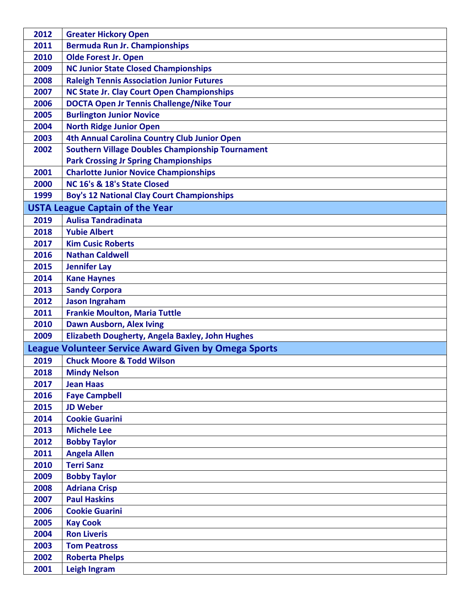| 2012 | <b>Greater Hickory Open</b>                                 |
|------|-------------------------------------------------------------|
| 2011 | <b>Bermuda Run Jr. Championships</b>                        |
| 2010 | <b>Olde Forest Jr. Open</b>                                 |
| 2009 | <b>NC Junior State Closed Championships</b>                 |
| 2008 | <b>Raleigh Tennis Association Junior Futures</b>            |
| 2007 | NC State Jr. Clay Court Open Championships                  |
| 2006 | <b>DOCTA Open Jr Tennis Challenge/Nike Tour</b>             |
| 2005 | <b>Burlington Junior Novice</b>                             |
| 2004 | <b>North Ridge Junior Open</b>                              |
| 2003 | 4th Annual Carolina Country Club Junior Open                |
| 2002 | <b>Southern Village Doubles Championship Tournament</b>     |
|      | <b>Park Crossing Jr Spring Championships</b>                |
| 2001 | <b>Charlotte Junior Novice Championships</b>                |
| 2000 | NC 16's & 18's State Closed                                 |
| 1999 | <b>Boy's 12 National Clay Court Championships</b>           |
|      | <b>USTA League Captain of the Year</b>                      |
| 2019 | <b>Aulisa Tandradinata</b>                                  |
| 2018 | <b>Yubie Albert</b>                                         |
| 2017 | <b>Kim Cusic Roberts</b>                                    |
| 2016 | <b>Nathan Caldwell</b>                                      |
| 2015 | <b>Jennifer Lay</b>                                         |
| 2014 | <b>Kane Haynes</b>                                          |
| 2013 | <b>Sandy Corpora</b>                                        |
| 2012 | <b>Jason Ingraham</b>                                       |
| 2011 | <b>Frankie Moulton, Maria Tuttle</b>                        |
| 2010 | <b>Dawn Ausborn, Alex Iving</b>                             |
| 2009 | Elizabeth Dougherty, Angela Baxley, John Hughes             |
|      | <b>League Volunteer Service Award Given by Omega Sports</b> |
| 2019 | <b>Chuck Moore &amp; Todd Wilson</b>                        |
| 2018 | <b>Mindy Nelson</b>                                         |
| 2017 | <b>Jean Haas</b>                                            |
| 2016 | <b>Faye Campbell</b>                                        |
| 2015 | <b>JD Weber</b>                                             |
| 2014 | <b>Cookie Guarini</b>                                       |
| 2013 | <b>Michele Lee</b>                                          |
| 2012 | <b>Bobby Taylor</b>                                         |
| 2011 | <b>Angela Allen</b>                                         |
| 2010 | <b>Terri Sanz</b>                                           |
| 2009 | <b>Bobby Taylor</b>                                         |
| 2008 | <b>Adriana Crisp</b>                                        |
| 2007 | <b>Paul Haskins</b>                                         |
| 2006 | <b>Cookie Guarini</b>                                       |
| 2005 | <b>Kay Cook</b>                                             |
| 2004 | <b>Ron Liveris</b>                                          |
| 2003 | <b>Tom Peatross</b>                                         |
| 2002 | <b>Roberta Phelps</b>                                       |
| 2001 | Leigh Ingram                                                |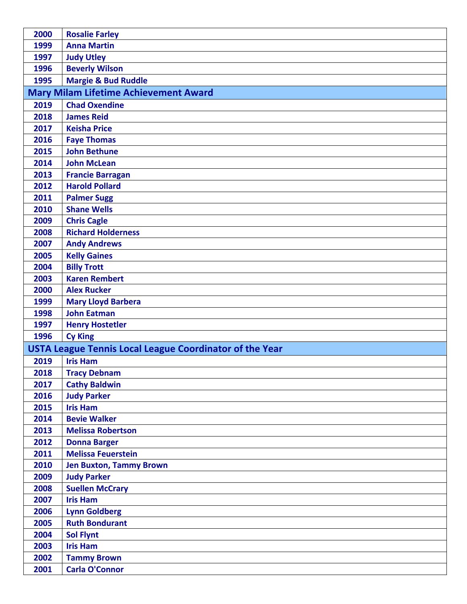| 2000 | <b>Rosalie Farley</b>                                          |
|------|----------------------------------------------------------------|
| 1999 | <b>Anna Martin</b>                                             |
| 1997 | <b>Judy Utley</b>                                              |
| 1996 | <b>Beverly Wilson</b>                                          |
| 1995 | <b>Margie &amp; Bud Ruddle</b>                                 |
|      | <b>Mary Milam Lifetime Achievement Award</b>                   |
| 2019 | <b>Chad Oxendine</b>                                           |
| 2018 | <b>James Reid</b>                                              |
| 2017 | <b>Keisha Price</b>                                            |
| 2016 | <b>Faye Thomas</b>                                             |
| 2015 | <b>John Bethune</b>                                            |
| 2014 | <b>John McLean</b>                                             |
| 2013 | <b>Francie Barragan</b>                                        |
| 2012 | <b>Harold Pollard</b>                                          |
| 2011 | <b>Palmer Sugg</b>                                             |
| 2010 | <b>Shane Wells</b>                                             |
| 2009 | <b>Chris Cagle</b>                                             |
| 2008 | <b>Richard Holderness</b>                                      |
| 2007 | <b>Andy Andrews</b>                                            |
| 2005 | <b>Kelly Gaines</b>                                            |
| 2004 | <b>Billy Trott</b>                                             |
| 2003 | <b>Karen Rembert</b>                                           |
| 2000 | <b>Alex Rucker</b>                                             |
| 1999 | <b>Mary Lloyd Barbera</b>                                      |
| 1998 | <b>John Eatman</b>                                             |
| 1997 | <b>Henry Hostetler</b>                                         |
| 1996 | <b>Cy King</b>                                                 |
|      | <b>USTA League Tennis Local League Coordinator of the Year</b> |
| 2019 | <b>Iris Ham</b>                                                |
| 2018 | <b>Tracy Debnam</b>                                            |
| 2017 | <b>Cathy Baldwin</b>                                           |
| 2016 | <b>Judy Parker</b>                                             |
| 2015 | <b>Iris Ham</b>                                                |
| 2014 | <b>Bevie Walker</b>                                            |
| 2013 | <b>Melissa Robertson</b>                                       |
| 2012 | <b>Donna Barger</b>                                            |
| 2011 | <b>Melissa Feuerstein</b>                                      |
| 2010 | <b>Jen Buxton, Tammy Brown</b>                                 |
| 2009 | <b>Judy Parker</b>                                             |
| 2008 | <b>Suellen McCrary</b>                                         |
| 2007 | <b>Iris Ham</b>                                                |
| 2006 | <b>Lynn Goldberg</b>                                           |
| 2005 | <b>Ruth Bondurant</b>                                          |
| 2004 | <b>Sol Flynt</b>                                               |
| 2003 | <b>Iris Ham</b>                                                |
| 2002 | <b>Tammy Brown</b>                                             |
| 2001 | <b>Carla O'Connor</b>                                          |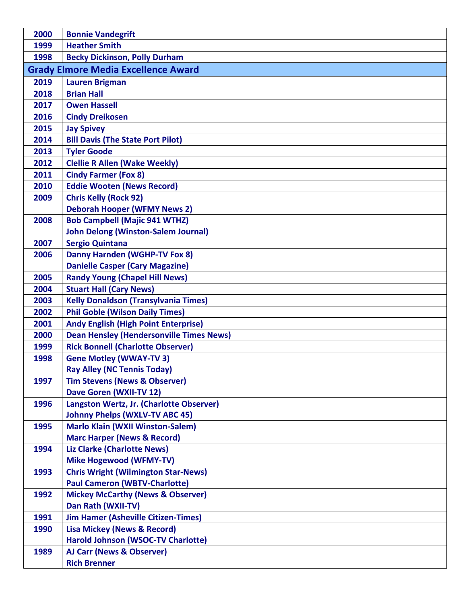| 2000 | <b>Bonnie Vandegrift</b>                                                          |
|------|-----------------------------------------------------------------------------------|
| 1999 | <b>Heather Smith</b>                                                              |
| 1998 | <b>Becky Dickinson, Polly Durham</b>                                              |
|      | <b>Grady Elmore Media Excellence Award</b>                                        |
| 2019 | <b>Lauren Brigman</b>                                                             |
| 2018 | <b>Brian Hall</b>                                                                 |
| 2017 | <b>Owen Hassell</b>                                                               |
| 2016 | <b>Cindy Dreikosen</b>                                                            |
| 2015 | <b>Jay Spivey</b>                                                                 |
| 2014 | <b>Bill Davis (The State Port Pilot)</b>                                          |
| 2013 | <b>Tyler Goode</b>                                                                |
| 2012 | <b>Clellie R Allen (Wake Weekly)</b>                                              |
| 2011 | <b>Cindy Farmer (Fox 8)</b>                                                       |
| 2010 | <b>Eddie Wooten (News Record)</b>                                                 |
| 2009 | <b>Chris Kelly (Rock 92)</b>                                                      |
|      | <b>Deborah Hooper (WFMY News 2)</b>                                               |
| 2008 | <b>Bob Campbell (Majic 941 WTHZ)</b>                                              |
|      | <b>John Delong (Winston-Salem Journal)</b>                                        |
| 2007 | <b>Sergio Quintana</b>                                                            |
| 2006 | <b>Danny Harnden (WGHP-TV Fox 8)</b>                                              |
|      | <b>Danielle Casper (Cary Magazine)</b>                                            |
| 2005 | <b>Randy Young (Chapel Hill News)</b>                                             |
| 2004 | <b>Stuart Hall (Cary News)</b>                                                    |
| 2003 | <b>Kelly Donaldson (Transylvania Times)</b>                                       |
| 2002 | <b>Phil Goble (Wilson Daily Times)</b>                                            |
| 2001 | <b>Andy English (High Point Enterprise)</b>                                       |
| 2000 | <b>Dean Hensley (Hendersonville Times News)</b>                                   |
| 1999 | <b>Rick Bonnell (Charlotte Observer)</b>                                          |
| 1998 | <b>Gene Motley (WWAY-TV3)</b>                                                     |
|      | <b>Ray Alley (NC Tennis Today)</b>                                                |
| 1997 | <b>Tim Stevens (News &amp; Observer)</b>                                          |
|      | Dave Goren (WXII-TV 12)                                                           |
| 1996 | Langston Wertz, Jr. (Charlotte Observer)<br><b>Johnny Phelps (WXLV-TV ABC 45)</b> |
| 1995 | <b>Marlo Klain (WXII Winston-Salem)</b>                                           |
|      | <b>Marc Harper (News &amp; Record)</b>                                            |
| 1994 | <b>Liz Clarke (Charlotte News)</b>                                                |
|      | <b>Mike Hogewood (WFMY-TV)</b>                                                    |
| 1993 | <b>Chris Wright (Wilmington Star-News)</b>                                        |
|      | <b>Paul Cameron (WBTV-Charlotte)</b>                                              |
| 1992 | <b>Mickey McCarthy (News &amp; Observer)</b>                                      |
|      | Dan Rath (WXII-TV)                                                                |
| 1991 | <b>Jim Hamer (Asheville Citizen-Times)</b>                                        |
| 1990 | <b>Lisa Mickey (News &amp; Record)</b>                                            |
|      | Harold Johnson (WSOC-TV Charlotte)                                                |
| 1989 | <b>AJ Carr (News &amp; Observer)</b>                                              |
|      | <b>Rich Brenner</b>                                                               |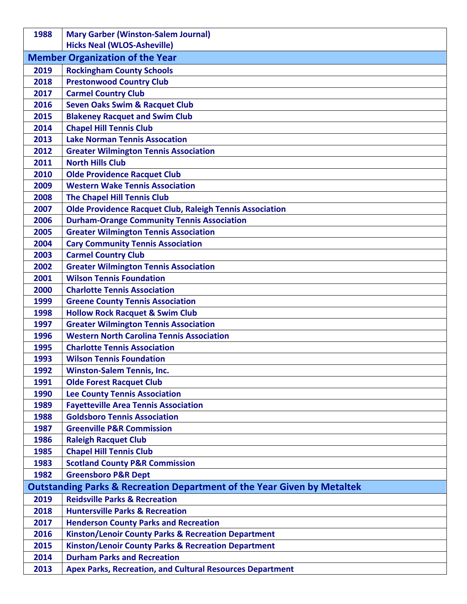| 1988         | <b>Mary Garber (Winston-Salem Journal)</b>                                                       |
|--------------|--------------------------------------------------------------------------------------------------|
|              | <b>Hicks Neal (WLOS-Asheville)</b>                                                               |
|              | <b>Member Organization of the Year</b>                                                           |
| 2019         | <b>Rockingham County Schools</b>                                                                 |
| 2018         | <b>Prestonwood Country Club</b>                                                                  |
| 2017         | <b>Carmel Country Club</b>                                                                       |
| 2016         | <b>Seven Oaks Swim &amp; Racquet Club</b>                                                        |
| 2015         | <b>Blakeney Racquet and Swim Club</b>                                                            |
| 2014         | <b>Chapel Hill Tennis Club</b>                                                                   |
| 2013         | <b>Lake Norman Tennis Assocation</b>                                                             |
| 2012         | <b>Greater Wilmington Tennis Association</b>                                                     |
| 2011         | <b>North Hills Club</b>                                                                          |
| 2010         | <b>Olde Providence Racquet Club</b>                                                              |
| 2009         | <b>Western Wake Tennis Association</b>                                                           |
| 2008         | <b>The Chapel Hill Tennis Club</b>                                                               |
| 2007         | <b>Olde Providence Racquet Club, Raleigh Tennis Association</b>                                  |
| 2006         | <b>Durham-Orange Community Tennis Association</b>                                                |
| 2005         | <b>Greater Wilmington Tennis Association</b>                                                     |
| 2004         | <b>Cary Community Tennis Association</b>                                                         |
| 2003         | <b>Carmel Country Club</b>                                                                       |
| 2002         | <b>Greater Wilmington Tennis Association</b>                                                     |
| 2001         | <b>Wilson Tennis Foundation</b>                                                                  |
| 2000         | <b>Charlotte Tennis Association</b>                                                              |
| 1999         | <b>Greene County Tennis Association</b>                                                          |
| 1998         | <b>Hollow Rock Racquet &amp; Swim Club</b>                                                       |
| 1997         | <b>Greater Wilmington Tennis Association</b><br><b>Western North Carolina Tennis Association</b> |
| 1996<br>1995 | <b>Charlotte Tennis Association</b>                                                              |
| 1993         | <b>Wilson Tennis Foundation</b>                                                                  |
| 1992         | <b>Winston-Salem Tennis, Inc.</b>                                                                |
| 1991         | <b>Olde Forest Racquet Club</b>                                                                  |
| 1990         | <b>Lee County Tennis Association</b>                                                             |
| 1989         | <b>Fayetteville Area Tennis Association</b>                                                      |
| 1988         | <b>Goldsboro Tennis Association</b>                                                              |
| 1987         | <b>Greenville P&amp;R Commission</b>                                                             |
| 1986         | <b>Raleigh Racquet Club</b>                                                                      |
| 1985         | <b>Chapel Hill Tennis Club</b>                                                                   |
| 1983         | <b>Scotland County P&amp;R Commission</b>                                                        |
| 1982         | <b>Greensboro P&amp;R Dept</b>                                                                   |
|              | <b>Outstanding Parks &amp; Recreation Department of the Year Given by Metaltek</b>               |
| 2019         | <b>Reidsville Parks &amp; Recreation</b>                                                         |
| 2018         | <b>Huntersville Parks &amp; Recreation</b>                                                       |
| 2017         | <b>Henderson County Parks and Recreation</b>                                                     |
| 2016         | <b>Kinston/Lenoir County Parks &amp; Recreation Department</b>                                   |
| 2015         | <b>Kinston/Lenoir County Parks &amp; Recreation Department</b>                                   |
| 2014         | <b>Durham Parks and Recreation</b>                                                               |
| 2013         | <b>Apex Parks, Recreation, and Cultural Resources Department</b>                                 |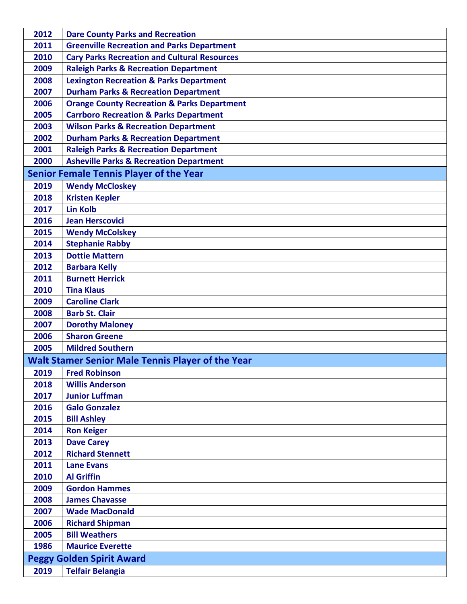| 2012 | <b>Dare County Parks and Recreation</b>                  |
|------|----------------------------------------------------------|
| 2011 | <b>Greenville Recreation and Parks Department</b>        |
| 2010 | <b>Cary Parks Recreation and Cultural Resources</b>      |
| 2009 | <b>Raleigh Parks &amp; Recreation Department</b>         |
| 2008 | <b>Lexington Recreation &amp; Parks Department</b>       |
| 2007 | <b>Durham Parks &amp; Recreation Department</b>          |
| 2006 | <b>Orange County Recreation &amp; Parks Department</b>   |
| 2005 | <b>Carrboro Recreation &amp; Parks Department</b>        |
| 2003 | <b>Wilson Parks &amp; Recreation Department</b>          |
| 2002 | <b>Durham Parks &amp; Recreation Department</b>          |
| 2001 | <b>Raleigh Parks &amp; Recreation Department</b>         |
| 2000 | <b>Asheville Parks &amp; Recreation Department</b>       |
|      | <b>Senior Female Tennis Player of the Year</b>           |
| 2019 | <b>Wendy McCloskey</b>                                   |
| 2018 | <b>Kristen Kepler</b>                                    |
| 2017 | <b>Lin Kolb</b>                                          |
| 2016 | <b>Jean Herscovici</b>                                   |
| 2015 | <b>Wendy McColskey</b>                                   |
| 2014 | <b>Stephanie Rabby</b>                                   |
| 2013 | <b>Dottie Mattern</b>                                    |
| 2012 | <b>Barbara Kelly</b>                                     |
| 2011 | <b>Burnett Herrick</b>                                   |
| 2010 | <b>Tina Klaus</b>                                        |
| 2009 | <b>Caroline Clark</b>                                    |
| 2008 | <b>Barb St. Clair</b>                                    |
| 2007 | <b>Dorothy Maloney</b>                                   |
| 2006 | <b>Sharon Greene</b>                                     |
| 2005 | <b>Mildred Southern</b>                                  |
|      | <b>Walt Stamer Senior Male Tennis Player of the Year</b> |
| 2019 | <b>Fred Robinson</b>                                     |
| 2018 | <b>Willis Anderson</b>                                   |
| 2017 | <b>Junior Luffman</b>                                    |
| 2016 | <b>Galo Gonzalez</b>                                     |
| 2015 | <b>Bill Ashley</b>                                       |
| 2014 | <b>Ron Keiger</b>                                        |
| 2013 | <b>Dave Carey</b>                                        |
| 2012 | <b>Richard Stennett</b>                                  |
| 2011 | <b>Lane Evans</b>                                        |
| 2010 | <b>Al Griffin</b>                                        |
| 2009 | <b>Gordon Hammes</b>                                     |
| 2008 | <b>James Chavasse</b>                                    |
| 2007 | <b>Wade MacDonald</b>                                    |
| 2006 | <b>Richard Shipman</b>                                   |
| 2005 | <b>Bill Weathers</b>                                     |
| 1986 | <b>Maurice Everette</b>                                  |
|      | <b>Peggy Golden Spirit Award</b>                         |
| 2019 | <b>Telfair Belangia</b>                                  |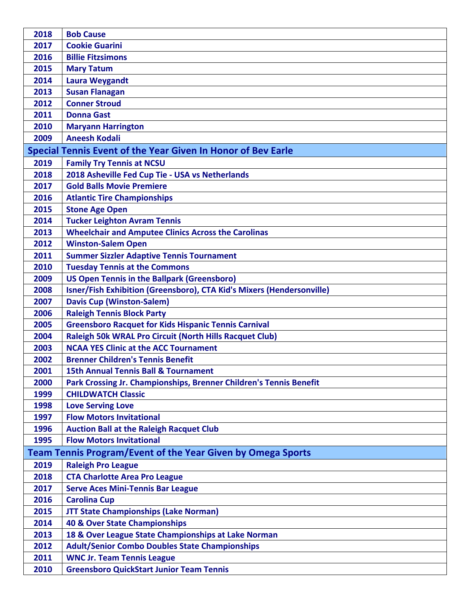| 2018 | <b>Bob Cause</b>                                                      |
|------|-----------------------------------------------------------------------|
| 2017 | <b>Cookie Guarini</b>                                                 |
| 2016 | <b>Billie Fitzsimons</b>                                              |
| 2015 | <b>Mary Tatum</b>                                                     |
| 2014 | <b>Laura Weygandt</b>                                                 |
| 2013 | <b>Susan Flanagan</b>                                                 |
| 2012 | <b>Conner Stroud</b>                                                  |
| 2011 | <b>Donna Gast</b>                                                     |
| 2010 | <b>Maryann Harrington</b>                                             |
| 2009 | <b>Aneesh Kodali</b>                                                  |
|      | Special Tennis Event of the Year Given In Honor of Bev Earle          |
| 2019 | <b>Family Try Tennis at NCSU</b>                                      |
| 2018 | 2018 Asheville Fed Cup Tie - USA vs Netherlands                       |
| 2017 | <b>Gold Balls Movie Premiere</b>                                      |
| 2016 | <b>Atlantic Tire Championships</b>                                    |
| 2015 | <b>Stone Age Open</b>                                                 |
| 2014 | <b>Tucker Leighton Avram Tennis</b>                                   |
| 2013 | <b>Wheelchair and Amputee Clinics Across the Carolinas</b>            |
| 2012 | <b>Winston-Salem Open</b>                                             |
| 2011 | <b>Summer Sizzler Adaptive Tennis Tournament</b>                      |
| 2010 | <b>Tuesday Tennis at the Commons</b>                                  |
| 2009 | <b>US Open Tennis in the Ballpark (Greensboro)</b>                    |
| 2008 | Isner/Fish Exhibition (Greensboro), CTA Kid's Mixers (Hendersonville) |
| 2007 | <b>Davis Cup (Winston-Salem)</b>                                      |
| 2006 | <b>Raleigh Tennis Block Party</b>                                     |
| 2005 | <b>Greensboro Racquet for Kids Hispanic Tennis Carnival</b>           |
| 2004 | <b>Raleigh 50k WRAL Pro Circuit (North Hills Racquet Club)</b>        |
| 2003 | <b>NCAA YES Clinic at the ACC Tournament</b>                          |
| 2002 | <b>Brenner Children's Tennis Benefit</b>                              |
| 2001 | <b>15th Annual Tennis Ball &amp; Tournament</b>                       |
| 2000 | Park Crossing Jr. Championships, Brenner Children's Tennis Benefit    |
| 1999 | <b>CHILDWATCH Classic</b>                                             |
| 1998 | <b>Love Serving Love</b>                                              |
| 1997 | <b>Flow Motors Invitational</b>                                       |
| 1996 | <b>Auction Ball at the Raleigh Racquet Club</b>                       |
| 1995 | <b>Flow Motors Invitational</b>                                       |
|      | <b>Team Tennis Program/Event of the Year Given by Omega Sports</b>    |
| 2019 | <b>Raleigh Pro League</b>                                             |
| 2018 | <b>CTA Charlotte Area Pro League</b>                                  |
| 2017 | <b>Serve Aces Mini-Tennis Bar League</b>                              |
| 2016 | <b>Carolina Cup</b>                                                   |
| 2015 | <b>JTT State Championships (Lake Norman)</b>                          |
| 2014 | 40 & Over State Championships                                         |
| 2013 | 18 & Over League State Championships at Lake Norman                   |
| 2012 | <b>Adult/Senior Combo Doubles State Championships</b>                 |
| 2011 | <b>WNC Jr. Team Tennis League</b>                                     |
| 2010 | <b>Greensboro QuickStart Junior Team Tennis</b>                       |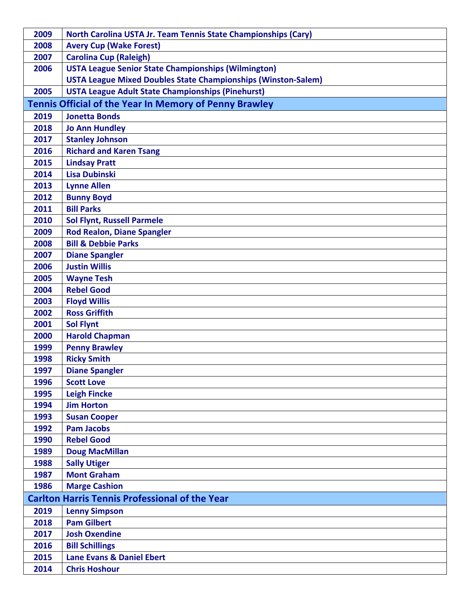| 2009 | <b>North Carolina USTA Jr. Team Tennis State Championships (Cary)</b> |
|------|-----------------------------------------------------------------------|
| 2008 | <b>Avery Cup (Wake Forest)</b>                                        |
| 2007 | <b>Carolina Cup (Raleigh)</b>                                         |
| 2006 | <b>USTA League Senior State Championships (Wilmington)</b>            |
|      | <b>USTA League Mixed Doubles State Championships (Winston-Salem)</b>  |
| 2005 | <b>USTA League Adult State Championships (Pinehurst)</b>              |
|      | Tennis Official of the Year In Memory of Penny Brawley                |
| 2019 | <b>Jonetta Bonds</b>                                                  |
| 2018 | <b>Jo Ann Hundley</b>                                                 |
| 2017 | <b>Stanley Johnson</b>                                                |
| 2016 | <b>Richard and Karen Tsang</b>                                        |
| 2015 | <b>Lindsay Pratt</b>                                                  |
| 2014 | <b>Lisa Dubinski</b>                                                  |
| 2013 | <b>Lynne Allen</b>                                                    |
| 2012 | <b>Bunny Boyd</b>                                                     |
| 2011 | <b>Bill Parks</b>                                                     |
| 2010 | <b>Sol Flynt, Russell Parmele</b>                                     |
| 2009 | <b>Rod Realon, Diane Spangler</b>                                     |
| 2008 | <b>Bill &amp; Debbie Parks</b>                                        |
| 2007 | <b>Diane Spangler</b>                                                 |
| 2006 | <b>Justin Willis</b>                                                  |
| 2005 | <b>Wayne Tesh</b>                                                     |
| 2004 | <b>Rebel Good</b>                                                     |
| 2003 | <b>Floyd Willis</b>                                                   |
| 2002 | <b>Ross Griffith</b>                                                  |
| 2001 | <b>Sol Flynt</b>                                                      |
| 2000 | <b>Harold Chapman</b>                                                 |
| 1999 | <b>Penny Brawley</b>                                                  |
| 1998 | <b>Ricky Smith</b>                                                    |
| 1997 | <b>Diane Spangler</b>                                                 |
| 1996 | <b>Scott Love</b>                                                     |
| 1995 | <b>Leigh Fincke</b>                                                   |
| 1994 | <b>Jim Horton</b>                                                     |
| 1993 | <b>Susan Cooper</b>                                                   |
| 1992 | <b>Pam Jacobs</b>                                                     |
| 1990 | <b>Rebel Good</b>                                                     |
| 1989 | <b>Doug MacMillan</b>                                                 |
| 1988 | <b>Sally Utiger</b>                                                   |
| 1987 | <b>Mont Graham</b>                                                    |
| 1986 | <b>Marge Cashion</b>                                                  |
|      | <b>Carlton Harris Tennis Professional of the Year</b>                 |
| 2019 | <b>Lenny Simpson</b>                                                  |
| 2018 | <b>Pam Gilbert</b>                                                    |
| 2017 | <b>Josh Oxendine</b>                                                  |
| 2016 | <b>Bill Schillings</b>                                                |
| 2015 | <b>Lane Evans &amp; Daniel Ebert</b>                                  |
| 2014 | <b>Chris Hoshour</b>                                                  |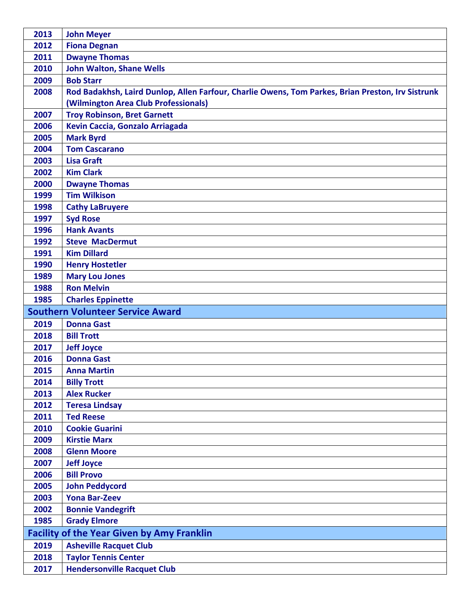| 2013                                              | <b>John Meyer</b>                                                                                 |
|---------------------------------------------------|---------------------------------------------------------------------------------------------------|
| 2012                                              | <b>Fiona Degnan</b>                                                                               |
| 2011                                              | <b>Dwayne Thomas</b>                                                                              |
| 2010                                              | <b>John Walton, Shane Wells</b>                                                                   |
| 2009                                              | <b>Bob Starr</b>                                                                                  |
| 2008                                              | Rod Badakhsh, Laird Dunlop, Allen Farfour, Charlie Owens, Tom Parkes, Brian Preston, Irv Sistrunk |
|                                                   | (Wilmington Area Club Professionals)                                                              |
| 2007                                              | <b>Troy Robinson, Bret Garnett</b>                                                                |
| 2006                                              | Kevin Caccia, Gonzalo Arriagada                                                                   |
| 2005                                              | <b>Mark Byrd</b>                                                                                  |
| 2004                                              | <b>Tom Cascarano</b>                                                                              |
| 2003                                              | <b>Lisa Graft</b>                                                                                 |
| 2002                                              | <b>Kim Clark</b>                                                                                  |
| 2000                                              | <b>Dwayne Thomas</b>                                                                              |
| 1999                                              | <b>Tim Wilkison</b>                                                                               |
| 1998                                              | <b>Cathy LaBruyere</b>                                                                            |
| 1997                                              | <b>Syd Rose</b>                                                                                   |
| 1996                                              | <b>Hank Avants</b>                                                                                |
| 1992                                              | <b>Steve MacDermut</b>                                                                            |
| 1991                                              | <b>Kim Dillard</b>                                                                                |
| 1990                                              | <b>Henry Hostetler</b>                                                                            |
| 1989                                              | <b>Mary Lou Jones</b>                                                                             |
| 1988                                              | <b>Ron Melvin</b>                                                                                 |
| 1985                                              | <b>Charles Eppinette</b>                                                                          |
|                                                   | <b>Southern Volunteer Service Award</b>                                                           |
| 2019                                              | <b>Donna Gast</b>                                                                                 |
| 2018                                              | <b>Bill Trott</b>                                                                                 |
| 2017                                              | <b>Jeff Joyce</b>                                                                                 |
| 2016                                              | <b>Donna Gast</b>                                                                                 |
| 2015                                              | <b>Anna Martin</b>                                                                                |
| 2014                                              | <b>Billy Trott</b>                                                                                |
| 2013                                              | <b>Alex Rucker</b>                                                                                |
| 2012                                              | <b>Teresa Lindsay</b>                                                                             |
| 2011                                              | <b>Ted Reese</b>                                                                                  |
| 2010                                              | <b>Cookie Guarini</b>                                                                             |
| 2009                                              | <b>Kirstie Marx</b>                                                                               |
| 2008                                              | <b>Glenn Moore</b>                                                                                |
| 2007                                              | <b>Jeff Joyce</b>                                                                                 |
| 2006                                              | <b>Bill Provo</b>                                                                                 |
| 2005                                              | <b>John Peddycord</b>                                                                             |
| 2003                                              | <b>Yona Bar-Zeev</b>                                                                              |
| 2002                                              | <b>Bonnie Vandegrift</b>                                                                          |
| 1985                                              | <b>Grady Elmore</b>                                                                               |
| <b>Facility of the Year Given by Amy Franklin</b> |                                                                                                   |
| 2019                                              | <b>Asheville Racquet Club</b>                                                                     |
| 2018                                              | <b>Taylor Tennis Center</b>                                                                       |
| 2017                                              | <b>Hendersonville Racquet Club</b>                                                                |